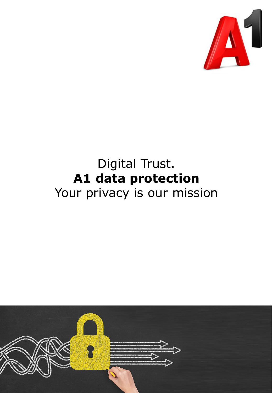

# Digital Trust. **A1 data protection** Your privacy is our mission

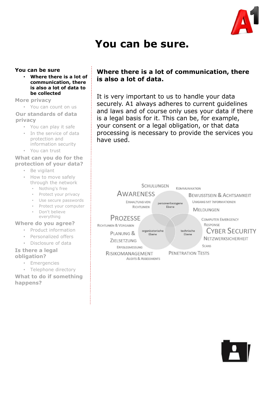

# **You can be sure.**

# **You can be sure**

• **Where there is a lot of communication, there is also a lot of data to be collected**

#### **More privacy**

• You can count on us

#### **Our standards of data privacy**

- You can play it safe
- In the service of data protection and information security
- You can trust

## **What can you do for the protection of your data?**

- Be vigilant
- How to move safely through the network
	- Nothing's free
	- Protect your privacy
	- Use secure passwords
	- Protect your computer
	- Don't believe everything

## **Where do you agree?**

- Product information
- Personalized offers
- Disclosure of data

## **Is there a legal obligation?**

- Emergencies
- Telephone directory

#### **What to do if something happens?**

# **Where there is a lot of communication, there is also a lot of data.**

It is very important to us to handle your data securely. A1 always adheres to current guidelines and laws and of course only uses your data if there is a legal basis for it. This can be, for example, your consent or a legal obligation, or that data processing is necessary to provide the services you have used.



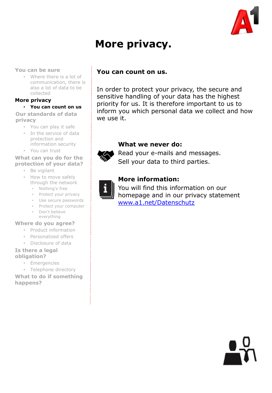

# **More privacy.**

# **You can be sure**

• Where there is a lot of communication, there is also a lot of data to be collected

# **More privacy**

# • **You can count on us**

**Our standards of data privacy**

- You can play it safe
- In the service of data protection and information security
- You can trust

## **What can you do for the protection of your data?**

- Be vigilant
- How to move safely through the network
	- Nothing's free
	- Protect your privacy
	- Use secure passwords
	- Protect your computer
	- Don't believe everything

## **Where do you agree?**

- Product information
- Personalized offers
- Disclosure of data

## **Is there a legal obligation?**

- Emergencies
- Telephone directory

## **What to do if something happens?**

# **You can count on us.**

In order to protect your privacy, the secure and sensitive handling of your data has the highest priority for us. It is therefore important to us to inform you which personal data we collect and how we use it.

# **What we never do:**

Read your e-mails and messages. Sell your data to third parties.

# **More information:**

You will find this information on our homepage and in our privacy statement [www.a1.net/Datenschutz](http://www.a1.net/Datenschutz)



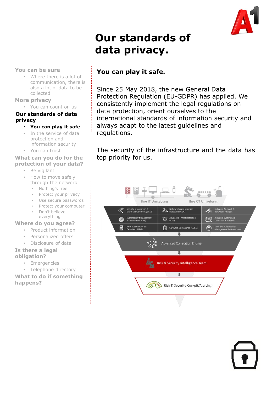

# **Our standards of data privacy.**

# **You can be sure**

• Where there is a lot of communication, there is also a lot of data to be collected

# **More privacy**

• You can count on us

## **Our standards of data privacy**

- **You can play it safe**
- In the service of data protection and information security
- You can trust

# **What can you do for the protection of your data?**

- Be vigilant
- How to move safely through the network
	- Nothing's free
	- Protect your privacy
	- Use secure passwords
	- Protect your computer
	- Don't believe everything

# **Where do you agree?**

- Product information
- Personalized offers
- Disclosure of data

## **Is there a legal obligation?**

- Emergencies
- Telephone directory

## **What to do if something happens?**

# **You can play it safe.**

Since 25 May 2018, the new General Data Protection Regulation (EU-GDPR) has applied. We consistently implement the legal regulations on data protection, orient ourselves to the international standards of information security and always adapt to the latest guidelines and regulations.

The security of the infrastructure and the data has top priority for us.

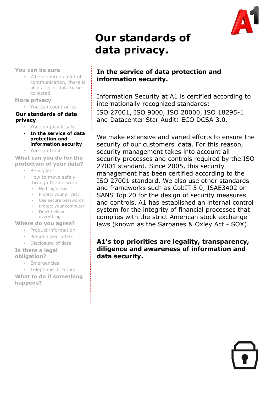

# **Our standards of data privacy.**

**You can be sure**

• Where there is a lot of communication, there is also a lot of data to be collected

## **More privacy**

• You can count on us

## **Our standards of data privacy**

- You can play it safe
- **In the service of data protection and information security**
- You can trust

**What can you do for the protection of your data?**

- Be vigilant
- How to move safely through the network
	- Nothing's free
	- Protect your privacy
	- Use secure passwords
	- Protect your computer
	- Don't believe everything

## **Where do you agree?**

- Product information
- Personalized offers
- Disclosure of data

## **Is there a legal obligation?**

- Emergencies
- Telephone directory

**What to do if something happens?**

# **In the service of data protection and information security.**

Information Security at A1 is certified according to internationally recognized standards: ISO 27001, ISO 9000, ISO 20000, ISO 18295-1 and Datacenter Star Audit: ECO DCSA 3.0.

We make extensive and varied efforts to ensure the security of our customers' data. For this reason, security management takes into account all security processes and controls required by the ISO 27001 standard. Since 2005, this security management has been certified according to the ISO 27001 standard. We also use other standards and frameworks such as CobIT 5.0, ISAE3402 or SANS Top 20 for the design of security measures and controls. A1 has established an internal control system for the integrity of financial processes that complies with the strict American stock exchange laws (known as the Sarbanes & Oxley Act - SOX).

# **A1's top priorities are legality, transparency, diligence and awareness of information and data security.**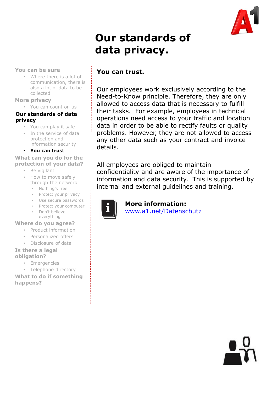

# **Our standards of data privacy.**

# **You can trust.**

Our employees work exclusively according to the Need-to-Know principle. Therefore, they are only allowed to access data that is necessary to fulfill their tasks. For example, employees in technical operations need access to your traffic and location data in order to be able to rectify faults or quality problems. However, they are not allowed to access any other data such as your contract and invoice details.

All employees are obliged to maintain confidentiality and are aware of the importance of information and data security. This is supported by internal and external guidelines and training.



# **More information:**

[www.a1.net/Datenschutz](http://www.a1.net/Datenschutz)

# **You can be sure**

• Where there is a lot of communication, there is also a lot of data to be collected

# **More privacy**

• You can count on us

# **Our standards of data privacy**

- You can play it safe
- In the service of data protection and information security
- **You can trust**

# **What can you do for the protection of your data?**

- Be vigilant
- How to move safely through the network
	- Nothing's free
	- Protect your privacy
	- Use secure passwords
	- Protect your computer
	- Don't believe everything

# **Where do you agree?**

- Product information
- Personalized offers
- Disclosure of data

# **Is there a legal obligation?**

- Emergencies
- Telephone directory

# **What to do if something happens?**

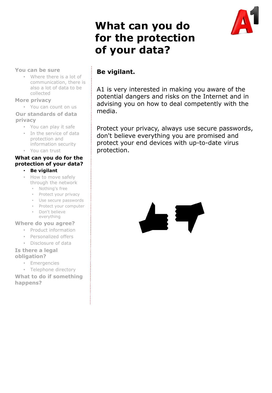# **What can you do for the protection of your data?**



# **You can be sure**

• Where there is a lot of communication, there is also a lot of data to be collected

# **More privacy**

• You can count on us

#### **Our standards of data privacy**

- You can play it safe
	- In the service of data protection and information security
	- You can trust

# **What can you do for the protection of your data?**

- **Be vigilant**
- How to move safely through the network
	- Nothing's free
	- Protect your privacy
	- Use secure passwords
	- Protect your computer
	- Don't believe everything

# **Where do you agree?**

- Product information
- Personalized offers
- Disclosure of data

# **Is there a legal obligation?**

- Emergencies
- Telephone directory

# **What to do if something happens?**

# **Be vigilant.**

A1 is very interested in making you aware of the potential dangers and risks on the Internet and in advising you on how to deal competently with the media.

Protect your privacy, always use secure passwords, don't believe everything you are promised and protect your end devices with up-to-date virus protection.

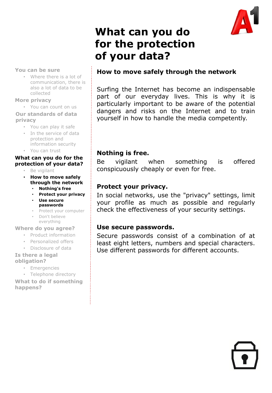

# **What can you do for the protection of your data?**

# **You can be sure**

• Where there is a lot of communication, there is also a lot of data to be collected

# **More privacy**

• You can count on us

## **Our standards of data privacy**

- You can play it safe
- In the service of data protection and information security
- You can trust

## **What can you do for the protection of your data?**

- Be vigilant
- **How to move safely through the network**
	- **Nothing's free**
	- **Protect your privacy** • **Use secure**
	- **passwords**
	- Protect your computer
	- Don't believe everything

# **Where do you agree?**

- Product information
- Personalized offers
- Disclosure of data

# **Is there a legal obligation?**

- Emergencies
- Telephone directory

**What to do if something happens?**

# **How to move safely through the network**

Surfing the Internet has become an indispensable part of our everyday lives. This is why it is particularly important to be aware of the potential dangers and risks on the Internet and to train yourself in how to handle the media competently.

# **Nothing is free.**

Be vigilant when something is offered conspicuously cheaply or even for free.

# **Protect your privacy.**

In social networks, use the "privacy" settings, limit your profile as much as possible and regularly check the effectiveness of your security settings.

# **Use secure passwords.**

Secure passwords consist of a combination of at least eight letters, numbers and special characters. Use different passwords for different accounts.

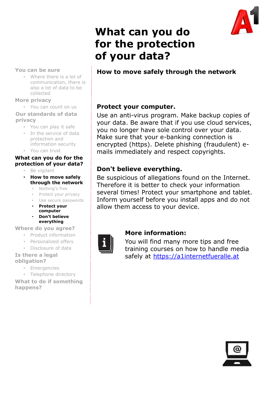

# **What can you do for the protection of your data?**

# **You can be sure**

• Where there is a lot of communication, there is also a lot of data to be collected

# **More privacy**

• You can count on us

## **Our standards of data privacy**

- You can play it safe
- In the service of data protection and information security
- You can trust

# **What can you do for the protection of your data?**

- Be vigilant
- **How to move safely through the network**
	- Nothing's free
	- Protect your privacy
	- Use secure passwords
	- **Protect your computer** • **Don't believe**
	- **everything**

**Where do you agree?**

- Product information
- Personalized offers
- Disclosure of data

# **Is there a legal obligation?**

- Emergencies
- Telephone directory

**What to do if something happens?**

# **Protect your computer.**

Use an anti-virus program. Make backup copies of your data. Be aware that if you use cloud services, you no longer have sole control over your data. Make sure that your e-banking connection is encrypted (https). Delete phishing (fraudulent) emails immediately and respect copyrights.

**How to move safely through the network**

# **Don't believe everything.**

Be suspicious of allegations found on the Internet. Therefore it is better to check your information several times! Protect your smartphone and tablet. Inform yourself before you install apps and do not allow them access to your device.



# **More information:**

You will find many more tips and free training courses on how to handle media safely at [https://a1internetfueralle.at](https://a1internetfueralle.at/)

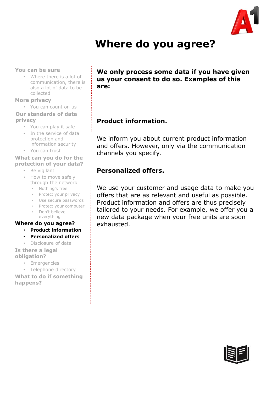

# **Where do you agree?**

# **You can be sure**

• Where there is a lot of communication, there is also a lot of data to be collected

# **More privacy**

• You can count on us

#### **Our standards of data privacy**

- You can play it safe
- In the service of data protection and information security
- You can trust

## **What can you do for the protection of your data?**

- Be vigilant
- How to move safely through the network
	- Nothing's free
	- Protect your privacy
	- Use secure passwords
	- Protect your computer
	- Don't believe everything

## **Where do you agree?**

- **Product information**
- **Personalized offers**
- Disclosure of data

## **Is there a legal obligation?**

- Emergencies
- Telephone directory

**What to do if something happens?**

**We only process some data if you have given us your consent to do so. Examples of this are:**

# **Product information.**

We inform you about current product information and offers. However, only via the communication channels you specify.

# **Personalized offers.**

We use your customer and usage data to make you offers that are as relevant and useful as possible. Product information and offers are thus precisely tailored to your needs. For example, we offer you a new data package when your free units are soon exhausted.

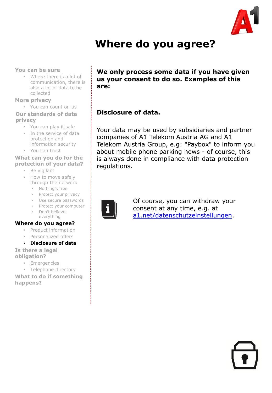

# **Where do you agree?**

# **You can be sure**

• Where there is a lot of communication, there is also a lot of data to be collected

# **More privacy**

• You can count on us

#### **Our standards of data privacy**

- You can play it safe
- In the service of data protection and information security
- You can trust

## **What can you do for the protection of your data?**

- Be vigilant
- How to move safely through the network
	- Nothing's free
	- Protect your privacy
	- Use secure passwords
	- Protect your computer
	- Don't believe everything

## **Where do you agree?**

- Product information
- Personalized offers
- **Disclosure of data**

#### **Is there a legal obligation?**

- Emergencies
- Telephone directory

**What to do if something happens?**

**We only process some data if you have given us your consent to do so. Examples of this are:**

# **Disclosure of data.**

Your data may be used by subsidiaries and partner companies of A1 Telekom Austria AG and A1 Telekom Austria Group, e.g: "Paybox" to inform you about mobile phone parking news - of course, this is always done in compliance with data protection regulations.



Of course, you can withdraw your consent at any time, e.g. at [a1.net/datenschutzeinstellungen](https://a1.net/datenschutzeinstellungen).

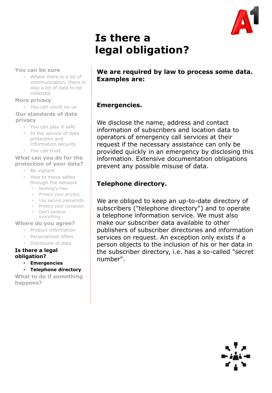

# **Is there a legal obligation?**

# **You can be sure**

• Where there is a lot of communication, there is also a lot of data to be collected

# **More privacy**

• You can count on us

## **Our standards of data privacy**

- You can play it safe
	- In the service of data protection and information security
	- You can trust

# **What can you do for the protection of your data?**

- Be vigilant
- How to move safely through the network
	- Nothing's free
	- Protect your privacy
	- Use secure passwords
	- Protect your computer
	- Don't believe everything

## **Where do you agree?**

- Product information
- Personalized offers
- Disclosure of data

# **Is there a legal obligation?**

- **Emergencies**
- **Telephone directory**

**What to do if something happens?**

# **We are required by law to process some data. Examples are:**

# **Emergencies.**

We disclose the name, address and contact information of subscribers and location data to operators of emergency call services at their request if the necessary assistance can only be provided quickly in an emergency by disclosing this information. Extensive documentation obligations prevent any possible misuse of data.

# **Telephone directory.**

We are obliged to keep an up-to-date directory of subscribers ("telephone directory") and to operate a telephone information service. We must also make our subscriber data available to other publishers of subscriber directories and information services on request. An exception only exists if a person objects to the inclusion of his or her data in the subscriber directory, i.e. has a so-called "secret number".

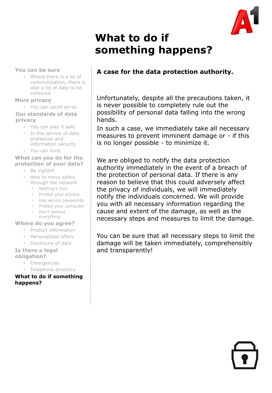

# **What to do if something happens?**

# **You can be sure**

• Where there is a lot of communication, there is also a lot of data to be collected

# **More privacy**

• You can count on us

## **Our standards of data privacy**

- You can play it safe
	- In the service of data protection and information security
	- You can trust

# **What can you do for the protection of your data?**

- Be vigilant
- How to move safely through the network
	- Nothing's free
	- Protect your privacy
	- Use secure passwords
	- Protect your computer
	- Don't believe everything

# **Where do you agree?**

- Product information
- Personalized offers
- Disclosure of data

#### **Is there a legal obligation?**

- Emergencies
- Telephone directory

# **What to do if something happens?**

# **A case for the data protection authority.**

Unfortunately, despite all the precautions taken, it is never possible to completely rule out the possibility of personal data falling into the wrong hands.

In such a case, we immediately take all necessary measures to prevent imminent damage or - if this is no longer possible - to minimize it.

We are obliged to notify the data protection authority immediately in the event of a breach of the protection of personal data. If there is any reason to believe that this could adversely affect the privacy of individuals, we will immediately notify the individuals concerned. We will provide you with all necessary information regarding the cause and extent of the damage, as well as the necessary steps and measures to limit the damage.

You can be sure that all necessary steps to limit the damage will be taken immediately, comprehensibly and transparently!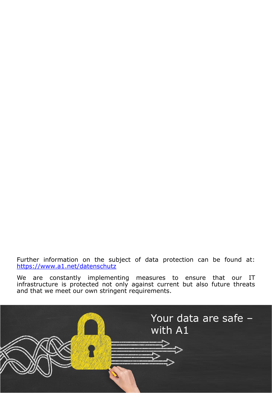Further information on the subject of data protection can be found at: <https://www.a1.net/datenschutz>

We are constantly implementing measures to ensure that our IT infrastructure is protected not only against current but also future threats and that we meet our own stringent requirements.